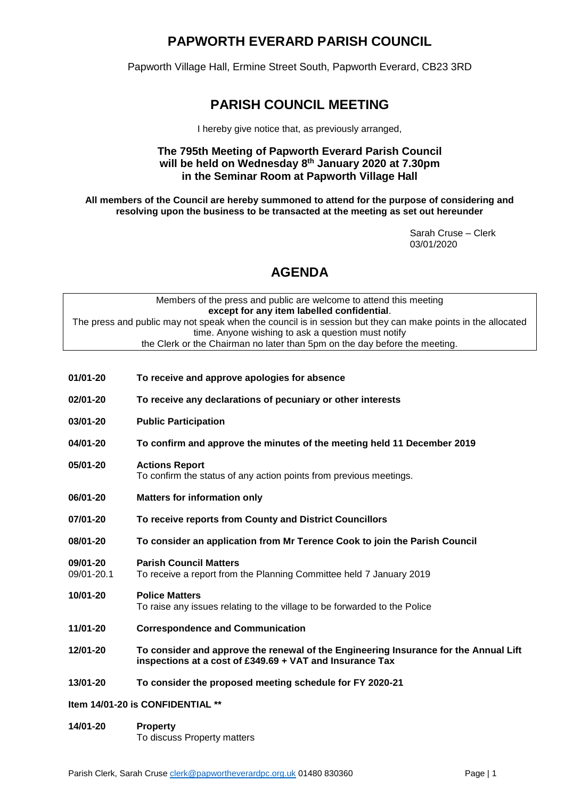## **PAPWORTH EVERARD PARISH COUNCIL**

Papworth Village Hall, Ermine Street South, Papworth Everard, CB23 3RD

## **PARISH COUNCIL MEETING**

I hereby give notice that, as previously arranged,

### **The 795th Meeting of Papworth Everard Parish Council will be held on Wednesday 8 th January 2020 at 7.30pm in the Seminar Room at Papworth Village Hall**

**All members of the Council are hereby summoned to attend for the purpose of considering and resolving upon the business to be transacted at the meeting as set out hereunder**

> Sarah Cruse – Clerk 03/01/2020

# **AGENDA**

| Members of the press and public are welcome to attend this meeting                                          |  |  |  |
|-------------------------------------------------------------------------------------------------------------|--|--|--|
| except for any item labelled confidential.                                                                  |  |  |  |
| The press and public may not speak when the council is in session but they can make points in the allocated |  |  |  |
| time. Anyone wishing to ask a question must notify                                                          |  |  |  |
| the Clerk or the Chairman no later than 5pm on the day before the meeting.                                  |  |  |  |

- **01/01-20 To receive and approve apologies for absence**
- **02/01-20 To receive any declarations of pecuniary or other interests**
- **03/01-20 Public Participation**
- **04/01-20 To confirm and approve the minutes of the meeting held 11 December 2019**
- **05/01-20 Actions Report** To confirm the status of any action points from previous meetings.
- **06/01-20 Matters for information only**
- **07/01-20 To receive reports from County and District Councillors**
- **08/01-20 To consider an application from Mr Terence Cook to join the Parish Council**
- **09/01-20 Parish Council Matters**
- 09/01-20.1 To receive a report from the Planning Committee held 7 January 2019
- **10/01-20 Police Matters**  To raise any issues relating to the village to be forwarded to the Police
- **11/01-20 Correspondence and Communication**
- **12/01-20 To consider and approve the renewal of the Engineering Insurance for the Annual Lift inspections at a cost of £349.69 + VAT and Insurance Tax**
- **13/01-20 To consider the proposed meeting schedule for FY 2020-21**
- **Item 14/01-20 is CONFIDENTIAL \*\***
- **14/01-20 Property** To discuss Property matters